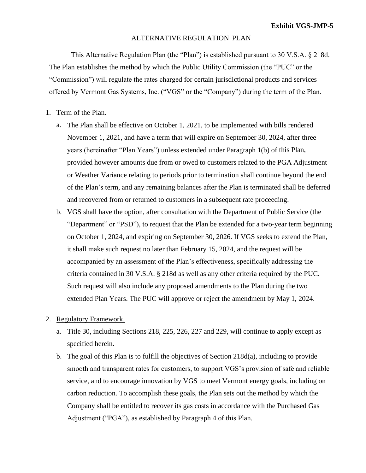#### ALTERNATIVE REGULATION PLAN

This Alternative Regulation Plan (the "Plan") is established pursuant to 30 V.S.A. § 218d. The Plan establishes the method by which the Public Utility Commission (the "PUC" or the "Commission") will regulate the rates charged for certain jurisdictional products and services offered by Vermont Gas Systems, Inc. ("VGS" or the "Company") during the term of the Plan.

#### 1. Term of the Plan.

- a. The Plan shall be effective on October 1, 2021, to be implemented with bills rendered November 1, 2021, and have a term that will expire on September 30, 2024, after three years (hereinafter "Plan Years") unless extended under Paragraph 1(b) of this Plan, provided however amounts due from or owed to customers related to the PGA Adjustment or Weather Variance relating to periods prior to termination shall continue beyond the end of the Plan's term, and any remaining balances after the Plan is terminated shall be deferred and recovered from or returned to customers in a subsequent rate proceeding.
- b. VGS shall have the option, after consultation with the Department of Public Service (the "Department" or "PSD"), to request that the Plan be extended for a two-year term beginning on October 1, 2024, and expiring on September 30, 2026. If VGS seeks to extend the Plan, it shall make such request no later than February 15, 2024, and the request will be accompanied by an assessment of the Plan's effectiveness, specifically addressing the criteria contained in 30 V.S.A. § 218d as well as any other criteria required by the PUC. Such request will also include any proposed amendments to the Plan during the two extended Plan Years. The PUC will approve or reject the amendment by May 1, 2024.
- 2. Regulatory Framework.
	- a. Title 30, including Sections 218, 225, 226, 227 and 229, will continue to apply except as specified herein.
	- b. The goal of this Plan is to fulfill the objectives of Section 218d(a), including to provide smooth and transparent rates for customers, to support VGS's provision of safe and reliable service, and to encourage innovation by VGS to meet Vermont energy goals, including on carbon reduction. To accomplish these goals, the Plan sets out the method by which the Company shall be entitled to recover its gas costs in accordance with the Purchased Gas Adjustment ("PGA"), as established by Paragraph 4 of this Plan.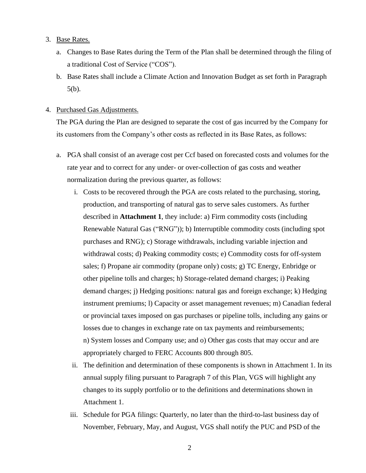### 3. Base Rates.

- a. Changes to Base Rates during the Term of the Plan shall be determined through the filing of a traditional Cost of Service ("COS").
- b. Base Rates shall include a Climate Action and Innovation Budget as set forth in Paragraph 5(b).

### 4. Purchased Gas Adjustments.

The PGA during the Plan are designed to separate the cost of gas incurred by the Company for its customers from the Company's other costs as reflected in its Base Rates, as follows:

- a. PGA shall consist of an average cost per Ccf based on forecasted costs and volumes for the rate year and to correct for any under- or over-collection of gas costs and weather normalization during the previous quarter, as follows:
	- i. Costs to be recovered through the PGA are costs related to the purchasing, storing, production, and transporting of natural gas to serve sales customers. As further described in **Attachment 1**, they include: a) Firm commodity costs (including Renewable Natural Gas ("RNG")); b) Interruptible commodity costs (including spot purchases and RNG); c) Storage withdrawals, including variable injection and withdrawal costs; d) Peaking commodity costs; e) Commodity costs for off-system sales; f) Propane air commodity (propane only) costs; g) TC Energy, Enbridge or other pipeline tolls and charges; h) Storage-related demand charges; i) Peaking demand charges; j) Hedging positions: natural gas and foreign exchange; k) Hedging instrument premiums; l) Capacity or asset management revenues; m) Canadian federal or provincial taxes imposed on gas purchases or pipeline tolls, including any gains or losses due to changes in exchange rate on tax payments and reimbursements; n) System losses and Company use; and o) Other gas costs that may occur and are appropriately charged to FERC Accounts 800 through 805.
	- ii. The definition and determination of these components is shown in Attachment 1. In its annual supply filing pursuant to Paragraph 7 of this Plan, VGS will highlight any changes to its supply portfolio or to the definitions and determinations shown in Attachment 1.
	- iii. Schedule for PGA filings: Quarterly, no later than the third-to-last business day of November, February, May, and August, VGS shall notify the PUC and PSD of the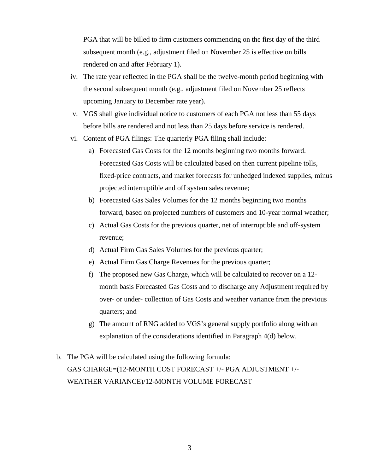PGA that will be billed to firm customers commencing on the first day of the third subsequent month (e.g., adjustment filed on November 25 is effective on bills rendered on and after February 1).

- iv. The rate year reflected in the PGA shall be the twelve-month period beginning with the second subsequent month (e.g., adjustment filed on November 25 reflects upcoming January to December rate year).
- v. VGS shall give individual notice to customers of each PGA not less than 55 days before bills are rendered and not less than 25 days before service is rendered.
- vi. Content of PGA filings: The quarterly PGA filing shall include:
	- a) Forecasted Gas Costs for the 12 months beginning two months forward. Forecasted Gas Costs will be calculated based on then current pipeline tolls, fixed-price contracts, and market forecasts for unhedged indexed supplies, minus projected interruptible and off system sales revenue;
	- b) Forecasted Gas Sales Volumes for the 12 months beginning two months forward, based on projected numbers of customers and 10-year normal weather;
	- c) Actual Gas Costs for the previous quarter, net of interruptible and off-system revenue;
	- d) Actual Firm Gas Sales Volumes for the previous quarter;
	- e) Actual Firm Gas Charge Revenues for the previous quarter;
	- f) The proposed new Gas Charge, which will be calculated to recover on a 12 month basis Forecasted Gas Costs and to discharge any Adjustment required by over- or under- collection of Gas Costs and weather variance from the previous quarters; and
	- g) The amount of RNG added to VGS's general supply portfolio along with an explanation of the considerations identified in Paragraph 4(d) below.
- b. The PGA will be calculated using the following formula: GAS CHARGE=(12-MONTH COST FORECAST +/- PGA ADJUSTMENT +/- WEATHER VARIANCE)/12-MONTH VOLUME FORECAST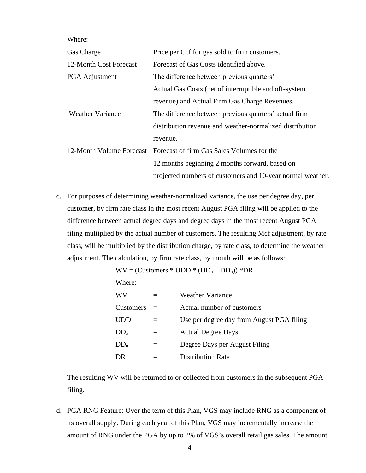Where:

| <b>Gas Charge</b>       | Price per Ccf for gas sold to firm customers.                       |
|-------------------------|---------------------------------------------------------------------|
| 12-Month Cost Forecast  | Forecast of Gas Costs identified above.                             |
| PGA Adjustment          | The difference between previous quarters'                           |
|                         | Actual Gas Costs (net of interruptible and off-system               |
|                         | revenue) and Actual Firm Gas Charge Revenues.                       |
| <b>Weather Variance</b> | The difference between previous quarters' actual firm               |
|                         | distribution revenue and weather-normalized distribution            |
|                         | revenue.                                                            |
|                         | 12-Month Volume Forecast Forecast of firm Gas Sales Volumes for the |
|                         | 12 months beginning 2 months forward, based on                      |
|                         | projected numbers of customers and 10-year normal weather.          |

c. For purposes of determining weather-normalized variance, the use per degree day, per customer, by firm rate class in the most recent August PGA filing will be applied to the difference between actual degree days and degree days in the most recent August PGA filing multiplied by the actual number of customers. The resulting Mcf adjustment, by rate class, will be multiplied by the distribution charge, by rate class, to determine the weather adjustment. The calculation, by firm rate class, by month will be as follows:

 $WV = (Customers * UDD * (DD<sub>a</sub> - DD<sub>n</sub>)) *DR$ 

Where:

| WV        | <b>Weather Variance</b>                   |
|-----------|-------------------------------------------|
| Customers | Actual number of customers                |
| UDD       | Use per degree day from August PGA filing |
| $DD_a$    | <b>Actual Degree Days</b>                 |
| $DD_n$    | Degree Days per August Filing             |
| DR        | <b>Distribution Rate</b>                  |

The resulting WV will be returned to or collected from customers in the subsequent PGA filing.

d. PGA RNG Feature: Over the term of this Plan, VGS may include RNG as a component of its overall supply. During each year of this Plan, VGS may incrementally increase the amount of RNG under the PGA by up to 2% of VGS's overall retail gas sales. The amount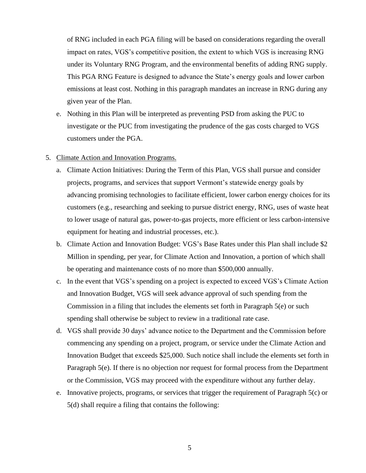of RNG included in each PGA filing will be based on considerations regarding the overall impact on rates, VGS's competitive position, the extent to which VGS is increasing RNG under its Voluntary RNG Program, and the environmental benefits of adding RNG supply. This PGA RNG Feature is designed to advance the State's energy goals and lower carbon emissions at least cost. Nothing in this paragraph mandates an increase in RNG during any given year of the Plan.

- e. Nothing in this Plan will be interpreted as preventing PSD from asking the PUC to investigate or the PUC from investigating the prudence of the gas costs charged to VGS customers under the PGA.
- 5. Climate Action and Innovation Programs.
	- a. Climate Action Initiatives: During the Term of this Plan, VGS shall pursue and consider projects, programs, and services that support Vermont's statewide energy goals by advancing promising technologies to facilitate efficient, lower carbon energy choices for its customers (e.g., researching and seeking to pursue district energy, RNG, uses of waste heat to lower usage of natural gas, power-to-gas projects, more efficient or less carbon-intensive equipment for heating and industrial processes, etc.).
	- b. Climate Action and Innovation Budget: VGS's Base Rates under this Plan shall include \$2 Million in spending, per year, for Climate Action and Innovation, a portion of which shall be operating and maintenance costs of no more than \$500,000 annually.
	- c. In the event that VGS's spending on a project is expected to exceed VGS's Climate Action and Innovation Budget, VGS will seek advance approval of such spending from the Commission in a filing that includes the elements set forth in Paragraph 5(e) or such spending shall otherwise be subject to review in a traditional rate case.
	- d. VGS shall provide 30 days' advance notice to the Department and the Commission before commencing any spending on a project, program, or service under the Climate Action and Innovation Budget that exceeds \$25,000. Such notice shall include the elements set forth in Paragraph 5(e). If there is no objection nor request for formal process from the Department or the Commission, VGS may proceed with the expenditure without any further delay.
	- e. Innovative projects, programs, or services that trigger the requirement of Paragraph 5(c) or 5(d) shall require a filing that contains the following: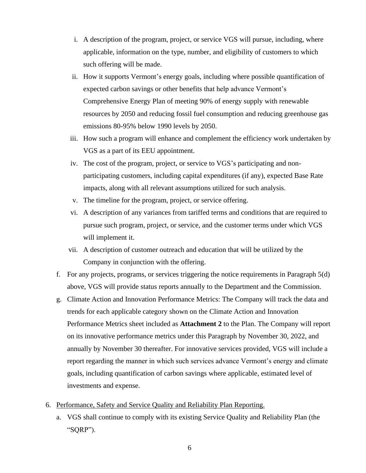- i. A description of the program, project, or service VGS will pursue, including, where applicable, information on the type, number, and eligibility of customers to which such offering will be made.
- ii. How it supports Vermont's energy goals, including where possible quantification of expected carbon savings or other benefits that help advance Vermont's Comprehensive Energy Plan of meeting 90% of energy supply with renewable resources by 2050 and reducing fossil fuel consumption and reducing greenhouse gas emissions 80-95% below 1990 levels by 2050.
- iii. How such a program will enhance and complement the efficiency work undertaken by VGS as a part of its EEU appointment.
- iv. The cost of the program, project, or service to VGS's participating and nonparticipating customers, including capital expenditures (if any), expected Base Rate impacts, along with all relevant assumptions utilized for such analysis.
- v. The timeline for the program, project, or service offering.
- vi. A description of any variances from tariffed terms and conditions that are required to pursue such program, project, or service, and the customer terms under which VGS will implement it.
- vii. A description of customer outreach and education that will be utilized by the Company in conjunction with the offering.
- f. For any projects, programs, or services triggering the notice requirements in Paragraph 5(d) above, VGS will provide status reports annually to the Department and the Commission.
- g. Climate Action and Innovation Performance Metrics: The Company will track the data and trends for each applicable category shown on the Climate Action and Innovation Performance Metrics sheet included as **Attachment 2** to the Plan. The Company will report on its innovative performance metrics under this Paragraph by November 30, 2022, and annually by November 30 thereafter. For innovative services provided, VGS will include a report regarding the manner in which such services advance Vermont's energy and climate goals, including quantification of carbon savings where applicable, estimated level of investments and expense.
- 6. Performance, Safety and Service Quality and Reliability Plan Reporting.
	- a. VGS shall continue to comply with its existing Service Quality and Reliability Plan (the "SQRP").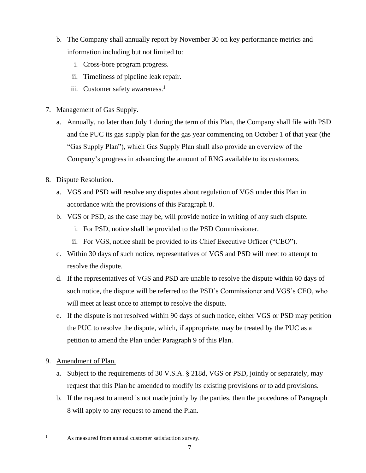- b. The Company shall annually report by November 30 on key performance metrics and information including but not limited to:
	- i. Cross-bore program progress.
	- ii. Timeliness of pipeline leak repair.
	- iii. Customer safety awareness.<sup>1</sup>
- 7. Management of Gas Supply.
	- a. Annually, no later than July 1 during the term of this Plan, the Company shall file with PSD and the PUC its gas supply plan for the gas year commencing on October 1 of that year (the "Gas Supply Plan"), which Gas Supply Plan shall also provide an overview of the Company's progress in advancing the amount of RNG available to its customers.
- 8. Dispute Resolution.
	- a. VGS and PSD will resolve any disputes about regulation of VGS under this Plan in accordance with the provisions of this Paragraph 8.
	- b. VGS or PSD, as the case may be, will provide notice in writing of any such dispute.
		- i. For PSD, notice shall be provided to the PSD Commissioner.
		- ii. For VGS, notice shall be provided to its Chief Executive Officer ("CEO").
	- c. Within 30 days of such notice, representatives of VGS and PSD will meet to attempt to resolve the dispute.
	- d. If the representatives of VGS and PSD are unable to resolve the dispute within 60 days of such notice, the dispute will be referred to the PSD's Commissioner and VGS's CEO, who will meet at least once to attempt to resolve the dispute.
	- e. If the dispute is not resolved within 90 days of such notice, either VGS or PSD may petition the PUC to resolve the dispute, which, if appropriate, may be treated by the PUC as a petition to amend the Plan under Paragraph 9 of this Plan.
- 9. Amendment of Plan.
	- a. Subject to the requirements of 30 V.S.A. § 218d, VGS or PSD, jointly or separately, may request that this Plan be amended to modify its existing provisions or to add provisions.
	- b. If the request to amend is not made jointly by the parties, then the procedures of Paragraph 8 will apply to any request to amend the Plan.
- 

<sup>&</sup>lt;sup>1</sup> As measured from annual customer satisfaction survey.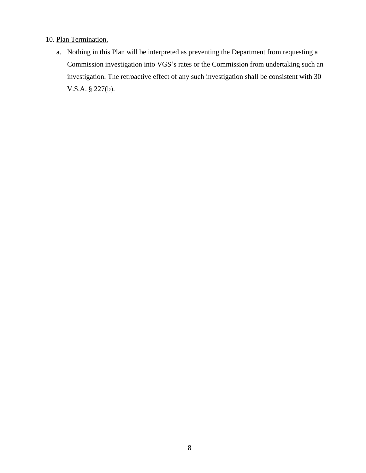## 10. Plan Termination.

a. Nothing in this Plan will be interpreted as preventing the Department from requesting a Commission investigation into VGS's rates or the Commission from undertaking such an investigation. The retroactive effect of any such investigation shall be consistent with 30 V.S.A. § 227(b).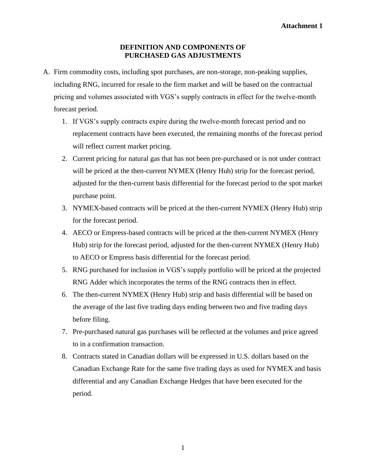### **DEFINITION AND COMPONENTS OF PURCHASED GAS ADJUSTMENTS**

- A. Firm commodity costs, including spot purchases, are non-storage, non-peaking supplies, including RNG, incurred for resale to the firm market and will be based on the contractual pricing and volumes associated with VGS's supply contracts in effect for the twelve-month forecast period.
	- 1. If VGS's supply contracts expire during the twelve-month forecast period and no replacement contracts have been executed, the remaining months of the forecast period will reflect current market pricing.
	- 2. Current pricing for natural gas that has not been pre-purchased or is not under contract will be priced at the then-current NYMEX (Henry Hub) strip for the forecast period, adjusted for the then-current basis differential for the forecast period to the spot market purchase point.
	- 3. NYMEX-based contracts will be priced at the then-current NYMEX (Henry Hub) strip for the forecast period.
	- 4. AECO or Empress-based contracts will be priced at the then-current NYMEX (Henry Hub) strip for the forecast period, adjusted for the then-current NYMEX (Henry Hub) to AECO or Empress basis differential for the forecast period.
	- 5. RNG purchased for inclusion in VGS's supply portfolio will be priced at the projected RNG Adder which incorporates the terms of the RNG contracts then in effect.
	- 6. The then-current NYMEX (Henry Hub) strip and basis differential will be based on the average of the last five trading days ending between two and five trading days before filing.
	- 7. Pre-purchased natural gas purchases will be reflected at the volumes and price agreed to in a confirmation transaction.
	- 8. Contracts stated in Canadian dollars will be expressed in U.S. dollars based on the Canadian Exchange Rate for the same five trading days as used for NYMEX and basis differential and any Canadian Exchange Hedges that have been executed for the period.

1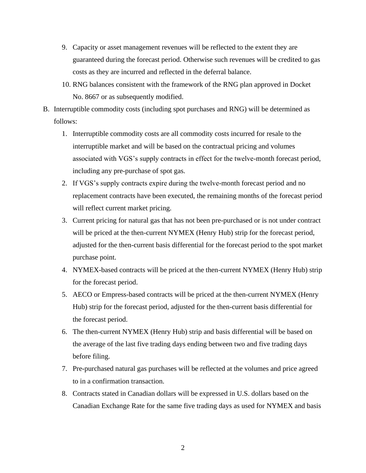- 9. Capacity or asset management revenues will be reflected to the extent they are guaranteed during the forecast period. Otherwise such revenues will be credited to gas costs as they are incurred and reflected in the deferral balance.
- 10. RNG balances consistent with the framework of the RNG plan approved in Docket No. 8667 or as subsequently modified.
- B. Interruptible commodity costs (including spot purchases and RNG) will be determined as follows:
	- 1. Interruptible commodity costs are all commodity costs incurred for resale to the interruptible market and will be based on the contractual pricing and volumes associated with VGS's supply contracts in effect for the twelve-month forecast period, including any pre-purchase of spot gas.
	- 2. If VGS's supply contracts expire during the twelve-month forecast period and no replacement contracts have been executed, the remaining months of the forecast period will reflect current market pricing.
	- 3. Current pricing for natural gas that has not been pre-purchased or is not under contract will be priced at the then-current NYMEX (Henry Hub) strip for the forecast period, adjusted for the then-current basis differential for the forecast period to the spot market purchase point.
	- 4. NYMEX-based contracts will be priced at the then-current NYMEX (Henry Hub) strip for the forecast period.
	- 5. AECO or Empress-based contracts will be priced at the then-current NYMEX (Henry Hub) strip for the forecast period, adjusted for the then-current basis differential for the forecast period.
	- 6. The then-current NYMEX (Henry Hub) strip and basis differential will be based on the average of the last five trading days ending between two and five trading days before filing.
	- 7. Pre-purchased natural gas purchases will be reflected at the volumes and price agreed to in a confirmation transaction.
	- 8. Contracts stated in Canadian dollars will be expressed in U.S. dollars based on the Canadian Exchange Rate for the same five trading days as used for NYMEX and basis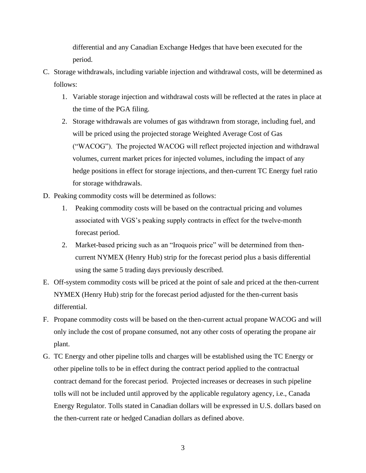differential and any Canadian Exchange Hedges that have been executed for the period.

- C. Storage withdrawals, including variable injection and withdrawal costs, will be determined as follows:
	- 1. Variable storage injection and withdrawal costs will be reflected at the rates in place at the time of the PGA filing.
	- 2. Storage withdrawals are volumes of gas withdrawn from storage, including fuel, and will be priced using the projected storage Weighted Average Cost of Gas ("WACOG"). The projected WACOG will reflect projected injection and withdrawal volumes, current market prices for injected volumes, including the impact of any hedge positions in effect for storage injections, and then-current TC Energy fuel ratio for storage withdrawals.
- D. Peaking commodity costs will be determined as follows:
	- 1. Peaking commodity costs will be based on the contractual pricing and volumes associated with VGS's peaking supply contracts in effect for the twelve-month forecast period.
	- 2. Market-based pricing such as an "Iroquois price" will be determined from thencurrent NYMEX (Henry Hub) strip for the forecast period plus a basis differential using the same 5 trading days previously described.
- E. Off-system commodity costs will be priced at the point of sale and priced at the then-current NYMEX (Henry Hub) strip for the forecast period adjusted for the then-current basis differential.
- F. Propane commodity costs will be based on the then-current actual propane WACOG and will only include the cost of propane consumed, not any other costs of operating the propane air plant.
- G. TC Energy and other pipeline tolls and charges will be established using the TC Energy or other pipeline tolls to be in effect during the contract period applied to the contractual contract demand for the forecast period. Projected increases or decreases in such pipeline tolls will not be included until approved by the applicable regulatory agency, i.e., Canada Energy Regulator. Tolls stated in Canadian dollars will be expressed in U.S. dollars based on the then-current rate or hedged Canadian dollars as defined above.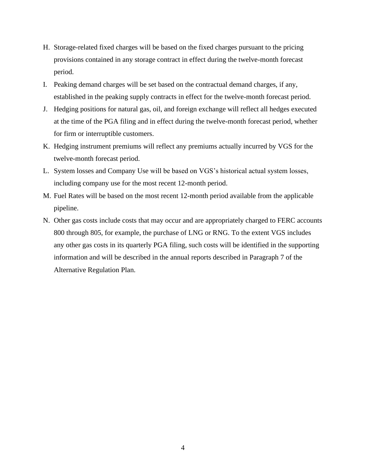- H. Storage-related fixed charges will be based on the fixed charges pursuant to the pricing provisions contained in any storage contract in effect during the twelve-month forecast period.
- I. Peaking demand charges will be set based on the contractual demand charges, if any, established in the peaking supply contracts in effect for the twelve-month forecast period.
- J. Hedging positions for natural gas, oil, and foreign exchange will reflect all hedges executed at the time of the PGA filing and in effect during the twelve-month forecast period, whether for firm or interruptible customers.
- K. Hedging instrument premiums will reflect any premiums actually incurred by VGS for the twelve-month forecast period.
- L. System losses and Company Use will be based on VGS's historical actual system losses, including company use for the most recent 12-month period.
- M. Fuel Rates will be based on the most recent 12-month period available from the applicable pipeline.
- N. Other gas costs include costs that may occur and are appropriately charged to FERC accounts 800 through 805, for example, the purchase of LNG or RNG. To the extent VGS includes any other gas costs in its quarterly PGA filing, such costs will be identified in the supporting information and will be described in the annual reports described in Paragraph 7 of the Alternative Regulation Plan.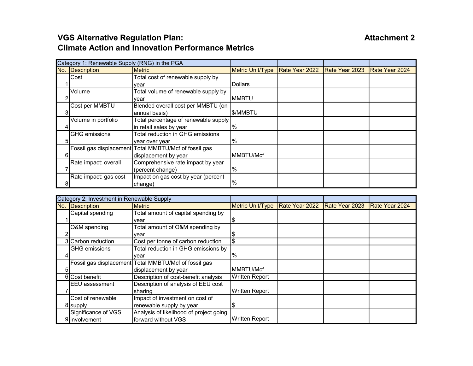# Attachment 2

# VGS Alternative Regulation Plan: Climate Action and Innovation Performance Metrics

| Category 1: Renewable Supply (RNG) in the PGA |                       |                                                       |                  |                |                |                       |
|-----------------------------------------------|-----------------------|-------------------------------------------------------|------------------|----------------|----------------|-----------------------|
| No.                                           | Description           | <b>IMetric</b>                                        | Metric Unit/Type | Rate Year 2022 | Rate Year 2023 | <b>Rate Year 2024</b> |
|                                               | Cost                  | Total cost of renewable supply by                     |                  |                |                |                       |
|                                               |                       | lvear                                                 | Dollars          |                |                |                       |
|                                               | Volume                | Total volume of renewable supply by                   |                  |                |                |                       |
|                                               |                       | lvear                                                 | <b>MMBTU</b>     |                |                |                       |
|                                               | Cost per MMBTU        | Blended overall cost per MMBTU (on                    |                  |                |                |                       |
|                                               |                       | annual basis)                                         | S/MMBTU          |                |                |                       |
|                                               | Volume in portfolio   | Total percentage of renewable supply                  |                  |                |                |                       |
|                                               |                       | in retail sales by year                               | $\%$             |                |                |                       |
|                                               | <b>GHG</b> emissions  | Total reduction in GHG emissions                      |                  |                |                |                       |
|                                               |                       | year over year                                        | $\%$             |                |                |                       |
|                                               |                       | Fossil gas displacement Total MMBTU/Mcf of fossil gas |                  |                |                |                       |
|                                               |                       | displacement by year                                  | MMBTU/Mcf        |                |                |                       |
|                                               | Rate impact: overall  | Comprehensive rate impact by year                     |                  |                |                |                       |
|                                               |                       | (percent change)                                      | $\frac{0}{0}$    |                |                |                       |
|                                               | Rate impact: gas cost | Impact on gas cost by year (percent                   |                  |                |                |                       |
|                                               |                       | change)                                               | $\%$             |                |                |                       |

| Category 2: Investment in Renewable Supply |                      |                                                         |                       |                |                |                |
|--------------------------------------------|----------------------|---------------------------------------------------------|-----------------------|----------------|----------------|----------------|
| No.                                        | Description          | Metric                                                  | Metric Unit/Type      | Rate Year 2022 | Rate Year 2023 | Rate Year 2024 |
|                                            | Capital spending     | Total amount of capital spending by                     |                       |                |                |                |
|                                            |                      | year                                                    |                       |                |                |                |
|                                            | O&M spending         | Total amount of O&M spending by                         |                       |                |                |                |
|                                            |                      | vear                                                    |                       |                |                |                |
|                                            | 3 Carbon reduction   | Cost per tonne of carbon reduction                      |                       |                |                |                |
|                                            | <b>GHG</b> emissions | Total reduction in GHG emissions by                     |                       |                |                |                |
|                                            |                      | vear                                                    | $\frac{10}{6}$        |                |                |                |
|                                            |                      | Fossil gas displacement   Total MMBTU/Mcf of fossil gas |                       |                |                |                |
|                                            |                      | displacement by year                                    | MMBTU/Mcf             |                |                |                |
|                                            | 6 Cost benefit       | Description of cost-benefit analysis                    | <b>Written Report</b> |                |                |                |
|                                            | EEU assessment       | Description of analysis of EEU cost                     |                       |                |                |                |
|                                            |                      | ∣sharinq                                                | Written Report        |                |                |                |
|                                            | Cost of renewable    | Impact of investment on cost of                         |                       |                |                |                |
|                                            | 8 supply             | renewable supply by year                                |                       |                |                |                |
|                                            | Significance of VGS  | Analysis of likelihood of project going                 |                       |                |                |                |
|                                            | 9 involvement        | forward without VGS                                     | <b>Written Report</b> |                |                |                |